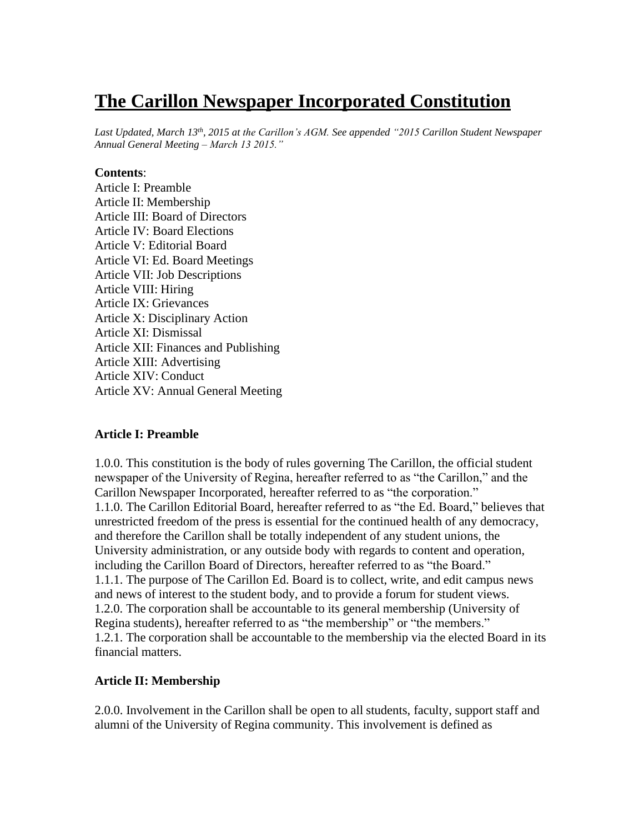# **The Carillon Newspaper Incorporated Constitution**

*Last Updated, March 13th , 2015 at the Carillon's AGM. See appended "2015 Carillon Student Newspaper Annual General Meeting – March 13 2015."*

#### **Contents**:

Article I: Preamble Article II: Membership Article III: Board of Directors Article IV: Board Elections Article V: Editorial Board Article VI: Ed. Board Meetings Article VII: Job Descriptions Article VIII: Hiring Article IX: Grievances Article X: Disciplinary Action Article XI: Dismissal Article XII: Finances and Publishing Article XIII: Advertising Article XIV: Conduct Article XV: Annual General Meeting

#### **Article I: Preamble**

1.0.0. This constitution is the body of rules governing The Carillon, the official student newspaper of the University of Regina, hereafter referred to as "the Carillon," and the Carillon Newspaper Incorporated, hereafter referred to as "the corporation." 1.1.0. The Carillon Editorial Board, hereafter referred to as "the Ed. Board," believes that unrestricted freedom of the press is essential for the continued health of any democracy, and therefore the Carillon shall be totally independent of any student unions, the University administration, or any outside body with regards to content and operation, including the Carillon Board of Directors, hereafter referred to as "the Board." 1.1.1. The purpose of The Carillon Ed. Board is to collect, write, and edit campus news and news of interest to the student body, and to provide a forum for student views. 1.2.0. The corporation shall be accountable to its general membership (University of Regina students), hereafter referred to as "the membership" or "the members." 1.2.1. The corporation shall be accountable to the membership via the elected Board in its financial matters.

#### **Article II: Membership**

2.0.0. Involvement in the Carillon shall be open to all students, faculty, support staff and alumni of the University of Regina community. This involvement is defined as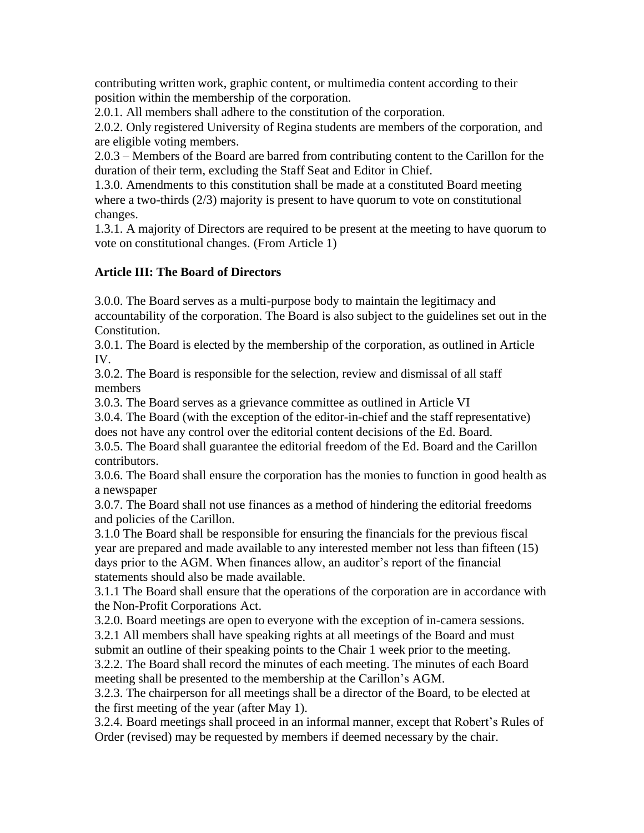contributing written work, graphic content, or multimedia content according to their position within the membership of the corporation.

2.0.1. All members shall adhere to the constitution of the corporation.

2.0.2. Only registered University of Regina students are members of the corporation, and are eligible voting members.

2.0.3 – Members of the Board are barred from contributing content to the Carillon for the duration of their term, excluding the Staff Seat and Editor in Chief.

1.3.0. Amendments to this constitution shall be made at a constituted Board meeting where a two-thirds (2/3) majority is present to have quorum to vote on constitutional changes.

1.3.1. A majority of Directors are required to be present at the meeting to have quorum to vote on constitutional changes. (From Article 1)

## **Article III: The Board of Directors**

3.0.0. The Board serves as a multi-purpose body to maintain the legitimacy and accountability of the corporation. The Board is also subject to the guidelines set out in the Constitution.

3.0.1. The Board is elected by the membership of the corporation, as outlined in Article IV.

3.0.2. The Board is responsible for the selection, review and dismissal of all staff members

3.0.3. The Board serves as a grievance committee as outlined in Article VI

3.0.4. The Board (with the exception of the editor-in-chief and the staff representative) does not have any control over the editorial content decisions of the Ed. Board.

3.0.5. The Board shall guarantee the editorial freedom of the Ed. Board and the Carillon contributors.

3.0.6. The Board shall ensure the corporation has the monies to function in good health as a newspaper

3.0.7. The Board shall not use finances as a method of hindering the editorial freedoms and policies of the Carillon.

3.1.0 The Board shall be responsible for ensuring the financials for the previous fiscal year are prepared and made available to any interested member not less than fifteen (15) days prior to the AGM. When finances allow, an auditor's report of the financial statements should also be made available.

3.1.1 The Board shall ensure that the operations of the corporation are in accordance with the Non-Profit Corporations Act.

3.2.0. Board meetings are open to everyone with the exception of in-camera sessions. 3.2.1 All members shall have speaking rights at all meetings of the Board and must submit an outline of their speaking points to the Chair 1 week prior to the meeting. 3.2.2. The Board shall record the minutes of each meeting. The minutes of each Board

meeting shall be presented to the membership at the Carillon's AGM.

3.2.3. The chairperson for all meetings shall be a director of the Board, to be elected at the first meeting of the year (after May 1).

3.2.4. Board meetings shall proceed in an informal manner, except that Robert's Rules of Order (revised) may be requested by members if deemed necessary by the chair.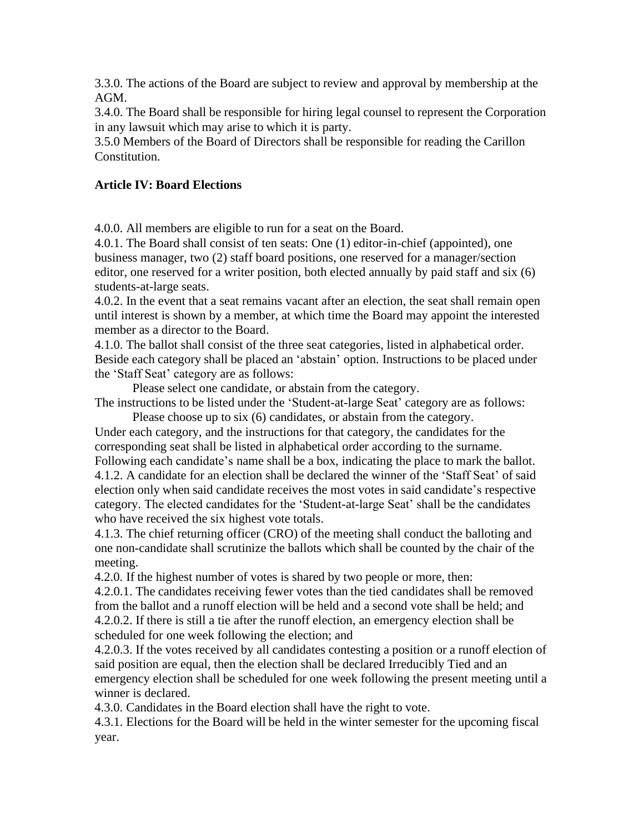3.3.0. The actions of the Board are subject to review and approval by membership at the AGM.

3.4.0. The Board shall be responsible for hiring legal counsel to represent the Corporation in any lawsuit which may arise to which it is party.

3.5.0 Members of the Board of Directors shall be responsible for reading the Carillon Constitution.

## **Article IV: Board Elections**

4.0.0. All members are eligible to run for a seat on the Board.

4.0.1. The Board shall consist of ten seats: One (1) editor-in-chief (appointed), one business manager, two (2) staff board positions, one reserved for a manager/section editor, one reserved for a writer position, both elected annually by paid staff and six (6) students-at-large seats.

4.0.2. In the event that a seat remains vacant after an election, the seat shall remain open until interest is shown by a member, at which time the Board may appoint the interested member as a director to the Board.

4.1.0. The ballot shall consist of the three seat categories, listed in alphabetical order. Beside each category shall be placed an 'abstain' option. Instructions to be placed under the 'Staff Seat' category are as follows:

Please select one candidate, or abstain from the category. The instructions to be listed under the 'Student-at-large Seat' category are as follows:

Please choose up to six (6) candidates, or abstain from the category. Under each category, and the instructions for that category, the candidates for the corresponding seat shall be listed in alphabetical order according to the surname. Following each candidate's name shall be a box, indicating the place to mark the ballot. 4.1.2. A candidate for an election shall be declared the winner of the 'Staff Seat' of said election only when said candidate receives the most votes in said candidate's respective category. The elected candidates for the 'Student-at-large Seat' shall be the candidates who have received the six highest vote totals.

4.1.3. The chief returning officer (CRO) of the meeting shall conduct the balloting and one non-candidate shall scrutinize the ballots which shall be counted by the chair of the meeting.

4.2.0. If the highest number of votes is shared by two people or more, then:

4.2.0.1. The candidates receiving fewer votes than the tied candidates shall be removed from the ballot and a runoff election will be held and a second vote shall be held; and 4.2.0.2. If there is still a tie after the runoff election, an emergency election shall be scheduled for one week following the election; and

4.2.0.3. If the votes received by all candidates contesting a position or a runoff election of said position are equal, then the election shall be declared Irreducibly Tied and an emergency election shall be scheduled for one week following the present meeting until a winner is declared.

4.3.0. Candidates in the Board election shall have the right to vote.

4.3.1. Elections for the Board will be held in the winter semester for the upcoming fiscal year.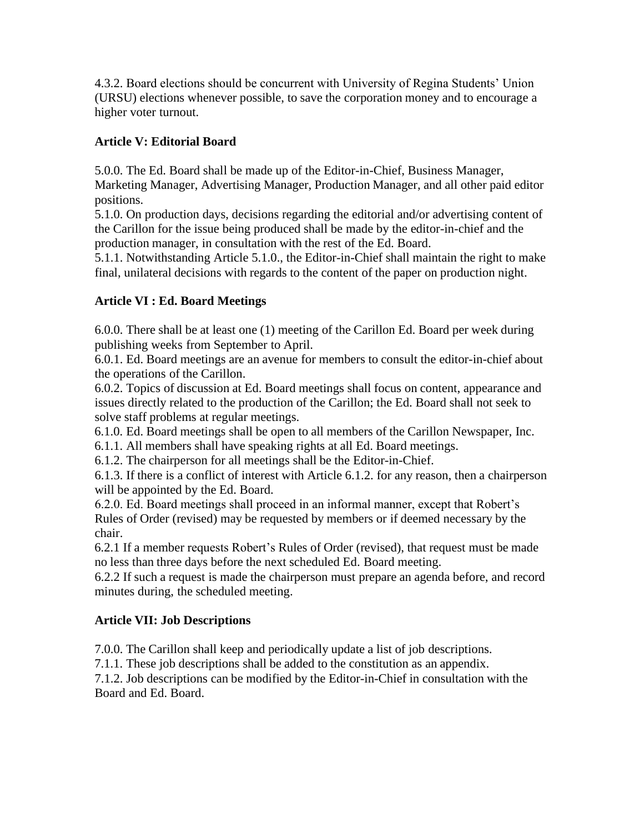4.3.2. Board elections should be concurrent with University of Regina Students' Union (URSU) elections whenever possible, to save the corporation money and to encourage a higher voter turnout.

## **Article V: Editorial Board**

5.0.0. The Ed. Board shall be made up of the Editor-in-Chief, Business Manager, Marketing Manager, Advertising Manager, Production Manager, and all other paid editor positions.

5.1.0. On production days, decisions regarding the editorial and/or advertising content of the Carillon for the issue being produced shall be made by the editor-in-chief and the production manager, in consultation with the rest of the Ed. Board.

5.1.1. Notwithstanding Article 5.1.0., the Editor-in-Chief shall maintain the right to make final, unilateral decisions with regards to the content of the paper on production night.

## **Article VI : Ed. Board Meetings**

6.0.0. There shall be at least one (1) meeting of the Carillon Ed. Board per week during publishing weeks from September to April.

6.0.1. Ed. Board meetings are an avenue for members to consult the editor-in-chief about the operations of the Carillon.

6.0.2. Topics of discussion at Ed. Board meetings shall focus on content, appearance and issues directly related to the production of the Carillon; the Ed. Board shall not seek to solve staff problems at regular meetings.

6.1.0. Ed. Board meetings shall be open to all members of the Carillon Newspaper, Inc.

6.1.1. All members shall have speaking rights at all Ed. Board meetings.

6.1.2. The chairperson for all meetings shall be the Editor-in-Chief.

6.1.3. If there is a conflict of interest with Article 6.1.2. for any reason, then a chairperson will be appointed by the Ed. Board.

6.2.0. Ed. Board meetings shall proceed in an informal manner, except that Robert's Rules of Order (revised) may be requested by members or if deemed necessary by the chair.

6.2.1 If a member requests Robert's Rules of Order (revised), that request must be made no less than three days before the next scheduled Ed. Board meeting.

6.2.2 If such a request is made the chairperson must prepare an agenda before, and record minutes during, the scheduled meeting.

## **Article VII: Job Descriptions**

7.0.0. The Carillon shall keep and periodically update a list of job descriptions.

7.1.1. These job descriptions shall be added to the constitution as an appendix.

7.1.2. Job descriptions can be modified by the Editor-in-Chief in consultation with the Board and Ed. Board.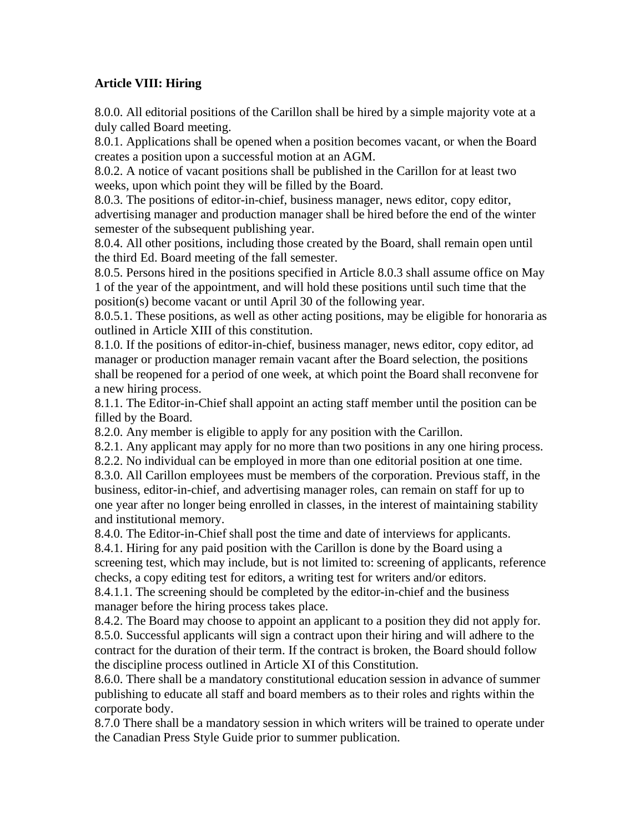#### **Article VIII: Hiring**

8.0.0. All editorial positions of the Carillon shall be hired by a simple majority vote at a duly called Board meeting.

8.0.1. Applications shall be opened when a position becomes vacant, or when the Board creates a position upon a successful motion at an AGM.

8.0.2. A notice of vacant positions shall be published in the Carillon for at least two weeks, upon which point they will be filled by the Board.

8.0.3. The positions of editor-in-chief, business manager, news editor, copy editor, advertising manager and production manager shall be hired before the end of the winter semester of the subsequent publishing year.

8.0.4. All other positions, including those created by the Board, shall remain open until the third Ed. Board meeting of the fall semester.

8.0.5. Persons hired in the positions specified in Article 8.0.3 shall assume office on May 1 of the year of the appointment, and will hold these positions until such time that the position(s) become vacant or until April 30 of the following year.

8.0.5.1. These positions, as well as other acting positions, may be eligible for honoraria as outlined in Article XIII of this constitution.

8.1.0. If the positions of editor-in-chief, business manager, news editor, copy editor, ad manager or production manager remain vacant after the Board selection, the positions shall be reopened for a period of one week, at which point the Board shall reconvene for a new hiring process.

8.1.1. The Editor-in-Chief shall appoint an acting staff member until the position can be filled by the Board.

8.2.0. Any member is eligible to apply for any position with the Carillon.

8.2.1. Any applicant may apply for no more than two positions in any one hiring process.

8.2.2. No individual can be employed in more than one editorial position at one time.

8.3.0. All Carillon employees must be members of the corporation. Previous staff, in the business, editor-in-chief, and advertising manager roles, can remain on staff for up to one year after no longer being enrolled in classes, in the interest of maintaining stability and institutional memory.

8.4.0. The Editor-in-Chief shall post the time and date of interviews for applicants.

8.4.1. Hiring for any paid position with the Carillon is done by the Board using a screening test, which may include, but is not limited to: screening of applicants, reference checks, a copy editing test for editors, a writing test for writers and/or editors.

8.4.1.1. The screening should be completed by the editor-in-chief and the business manager before the hiring process takes place.

8.4.2. The Board may choose to appoint an applicant to a position they did not apply for. 8.5.0. Successful applicants will sign a contract upon their hiring and will adhere to the contract for the duration of their term. If the contract is broken, the Board should follow the discipline process outlined in Article XI of this Constitution.

8.6.0. There shall be a mandatory constitutional education session in advance of summer publishing to educate all staff and board members as to their roles and rights within the corporate body.

8.7.0 There shall be a mandatory session in which writers will be trained to operate under the Canadian Press Style Guide prior to summer publication.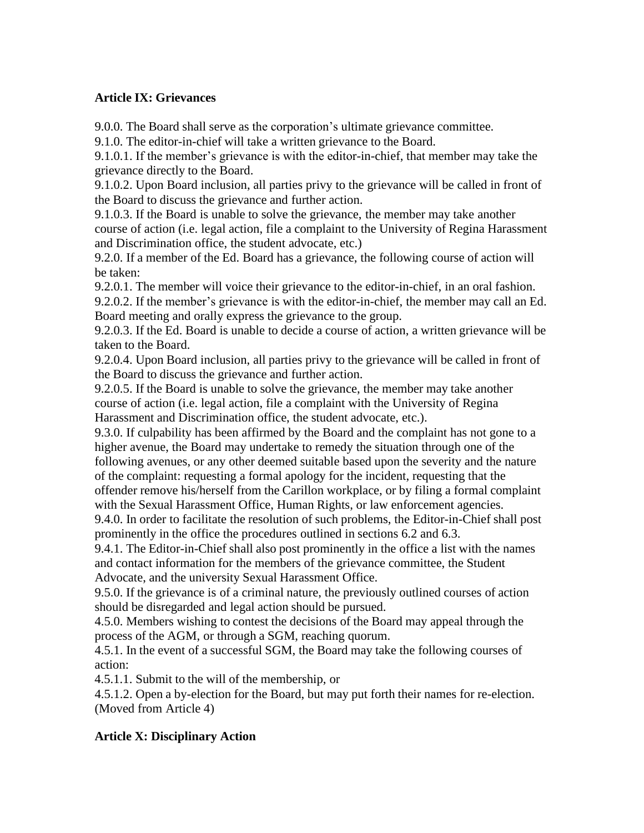#### **Article IX: Grievances**

9.0.0. The Board shall serve as the corporation's ultimate grievance committee.

9.1.0. The editor-in-chief will take a written grievance to the Board.

9.1.0.1. If the member's grievance is with the editor-in-chief, that member may take the grievance directly to the Board.

9.1.0.2. Upon Board inclusion, all parties privy to the grievance will be called in front of the Board to discuss the grievance and further action.

9.1.0.3. If the Board is unable to solve the grievance, the member may take another course of action (i.e. legal action, file a complaint to the University of Regina Harassment and Discrimination office, the student advocate, etc.)

9.2.0. If a member of the Ed. Board has a grievance, the following course of action will be taken:

9.2.0.1. The member will voice their grievance to the editor-in-chief, in an oral fashion.

9.2.0.2. If the member's grievance is with the editor-in-chief, the member may call an Ed. Board meeting and orally express the grievance to the group.

9.2.0.3. If the Ed. Board is unable to decide a course of action, a written grievance will be taken to the Board.

9.2.0.4. Upon Board inclusion, all parties privy to the grievance will be called in front of the Board to discuss the grievance and further action.

9.2.0.5. If the Board is unable to solve the grievance, the member may take another course of action (i.e. legal action, file a complaint with the University of Regina Harassment and Discrimination office, the student advocate, etc.).

9.3.0. If culpability has been affirmed by the Board and the complaint has not gone to a higher avenue, the Board may undertake to remedy the situation through one of the following avenues, or any other deemed suitable based upon the severity and the nature of the complaint: requesting a formal apology for the incident, requesting that the

offender remove his/herself from the Carillon workplace, or by filing a formal complaint with the Sexual Harassment Office, Human Rights, or law enforcement agencies.

9.4.0. In order to facilitate the resolution of such problems, the Editor-in-Chief shall post prominently in the office the procedures outlined in sections 6.2 and 6.3.

9.4.1. The Editor-in-Chief shall also post prominently in the office a list with the names and contact information for the members of the grievance committee, the Student Advocate, and the university Sexual Harassment Office.

9.5.0. If the grievance is of a criminal nature, the previously outlined courses of action should be disregarded and legal action should be pursued.

4.5.0. Members wishing to contest the decisions of the Board may appeal through the process of the AGM, or through a SGM, reaching quorum.

4.5.1. In the event of a successful SGM, the Board may take the following courses of action:

4.5.1.1. Submit to the will of the membership, or

4.5.1.2. Open a by-election for the Board, but may put forth their names for re-election. (Moved from Article 4)

## **Article X: Disciplinary Action**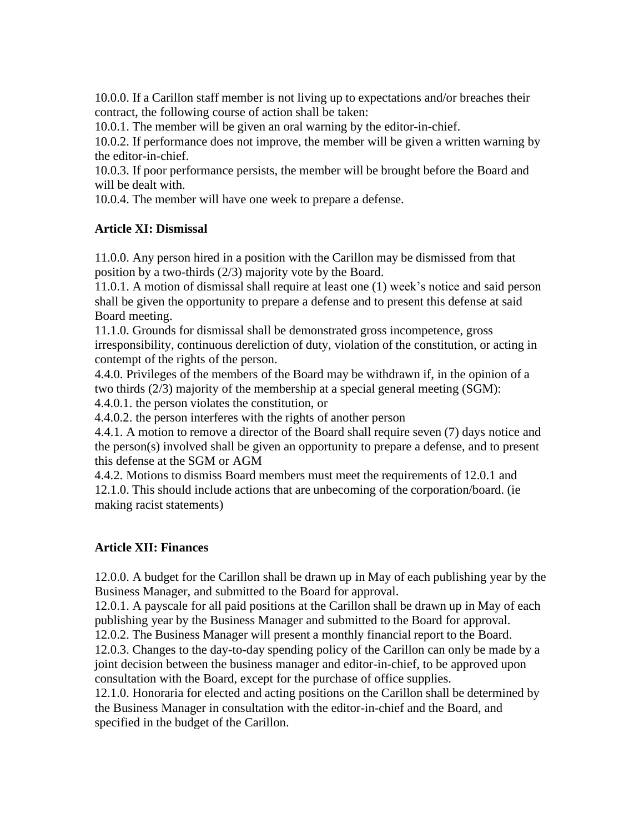10.0.0. If a Carillon staff member is not living up to expectations and/or breaches their contract, the following course of action shall be taken:

10.0.1. The member will be given an oral warning by the editor-in-chief.

10.0.2. If performance does not improve, the member will be given a written warning by the editor-in-chief.

10.0.3. If poor performance persists, the member will be brought before the Board and will be dealt with.

10.0.4. The member will have one week to prepare a defense.

#### **Article XI: Dismissal**

11.0.0. Any person hired in a position with the Carillon may be dismissed from that position by a two-thirds (2/3) majority vote by the Board.

11.0.1. A motion of dismissal shall require at least one (1) week's notice and said person shall be given the opportunity to prepare a defense and to present this defense at said Board meeting.

11.1.0. Grounds for dismissal shall be demonstrated gross incompetence, gross irresponsibility, continuous dereliction of duty, violation of the constitution, or acting in contempt of the rights of the person.

4.4.0. Privileges of the members of the Board may be withdrawn if, in the opinion of a two thirds (2/3) majority of the membership at a special general meeting (SGM):

4.4.0.1. the person violates the constitution, or

4.4.0.2. the person interferes with the rights of another person

4.4.1. A motion to remove a director of the Board shall require seven (7) days notice and the person(s) involved shall be given an opportunity to prepare a defense, and to present this defense at the SGM or AGM

4.4.2. Motions to dismiss Board members must meet the requirements of 12.0.1 and 12.1.0. This should include actions that are unbecoming of the corporation/board. (ie making racist statements)

#### **Article XII: Finances**

12.0.0. A budget for the Carillon shall be drawn up in May of each publishing year by the Business Manager, and submitted to the Board for approval.

12.0.1. A payscale for all paid positions at the Carillon shall be drawn up in May of each publishing year by the Business Manager and submitted to the Board for approval.

12.0.2. The Business Manager will present a monthly financial report to the Board. 12.0.3. Changes to the day-to-day spending policy of the Carillon can only be made by a joint decision between the business manager and editor-in-chief, to be approved upon consultation with the Board, except for the purchase of office supplies.

12.1.0. Honoraria for elected and acting positions on the Carillon shall be determined by the Business Manager in consultation with the editor-in-chief and the Board, and specified in the budget of the Carillon.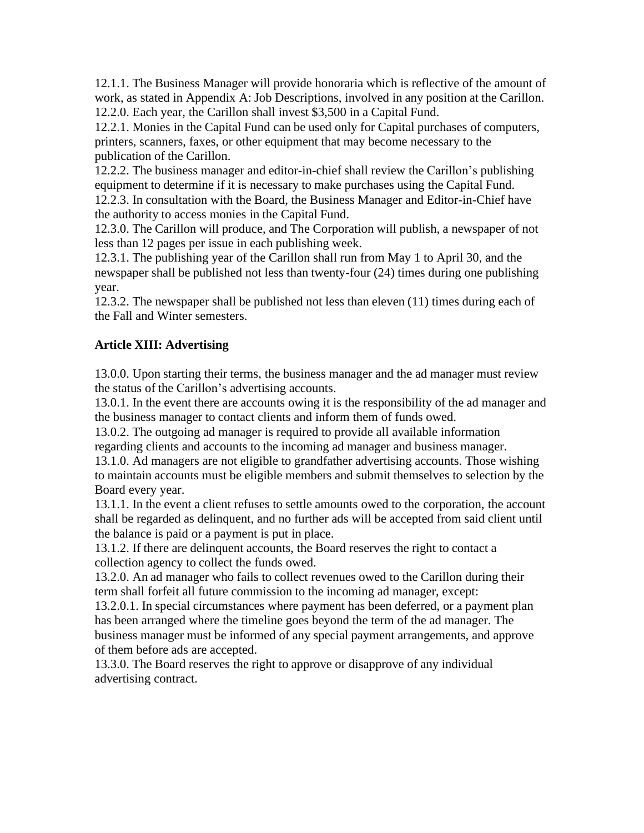12.1.1. The Business Manager will provide honoraria which is reflective of the amount of work, as stated in Appendix A: Job Descriptions, involved in any position at the Carillon. 12.2.0. Each year, the Carillon shall invest \$3,500 in a Capital Fund.

12.2.1. Monies in the Capital Fund can be used only for Capital purchases of computers, printers, scanners, faxes, or other equipment that may become necessary to the publication of the Carillon.

12.2.2. The business manager and editor-in-chief shall review the Carillon's publishing equipment to determine if it is necessary to make purchases using the Capital Fund. 12.2.3. In consultation with the Board, the Business Manager and Editor-in-Chief have the authority to access monies in the Capital Fund.

12.3.0. The Carillon will produce, and The Corporation will publish, a newspaper of not less than 12 pages per issue in each publishing week.

12.3.1. The publishing year of the Carillon shall run from May 1 to April 30, and the newspaper shall be published not less than twenty-four (24) times during one publishing year.

12.3.2. The newspaper shall be published not less than eleven (11) times during each of the Fall and Winter semesters.

## **Article XIII: Advertising**

13.0.0. Upon starting their terms, the business manager and the ad manager must review the status of the Carillon's advertising accounts.

13.0.1. In the event there are accounts owing it is the responsibility of the ad manager and the business manager to contact clients and inform them of funds owed.

13.0.2. The outgoing ad manager is required to provide all available information regarding clients and accounts to the incoming ad manager and business manager.

13.1.0. Ad managers are not eligible to grandfather advertising accounts. Those wishing to maintain accounts must be eligible members and submit themselves to selection by the Board every year.

13.1.1. In the event a client refuses to settle amounts owed to the corporation, the account shall be regarded as delinquent, and no further ads will be accepted from said client until the balance is paid or a payment is put in place.

13.1.2. If there are delinquent accounts, the Board reserves the right to contact a collection agency to collect the funds owed.

13.2.0. An ad manager who fails to collect revenues owed to the Carillon during their term shall forfeit all future commission to the incoming ad manager, except:

13.2.0.1. In special circumstances where payment has been deferred, or a payment plan has been arranged where the timeline goes beyond the term of the ad manager. The business manager must be informed of any special payment arrangements, and approve of them before ads are accepted.

13.3.0. The Board reserves the right to approve or disapprove of any individual advertising contract.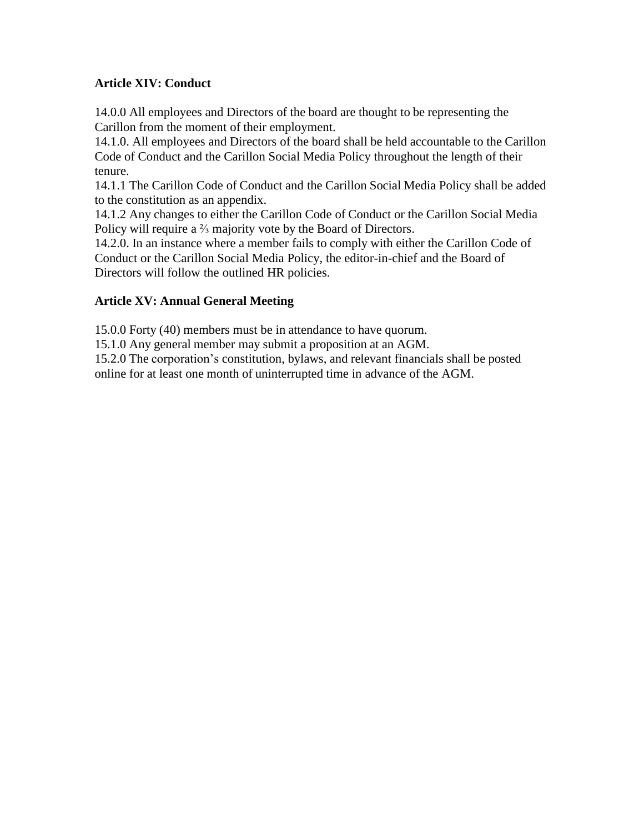## **Article XIV: Conduct**

14.0.0 All employees and Directors of the board are thought to be representing the Carillon from the moment of their employment.

14.1.0. All employees and Directors of the board shall be held accountable to the Carillon Code of Conduct and the Carillon Social Media Policy throughout the length of their tenure.

14.1.1 The Carillon Code of Conduct and the Carillon Social Media Policy shall be added to the constitution as an appendix.

14.1.2 Any changes to either the Carillon Code of Conduct or the Carillon Social Media Policy will require a <sup>2</sup>/<sub>3</sub> majority vote by the Board of Directors.

14.2.0. In an instance where a member fails to comply with either the Carillon Code of Conduct or the Carillon Social Media Policy, the editor-in-chief and the Board of Directors will follow the outlined HR policies.

## **Article XV: Annual General Meeting**

15.0.0 Forty (40) members must be in attendance to have quorum.

15.1.0 Any general member may submit a proposition at an AGM.

15.2.0 The corporation's constitution, bylaws, and relevant financials shall be posted online for at least one month of uninterrupted time in advance of the AGM.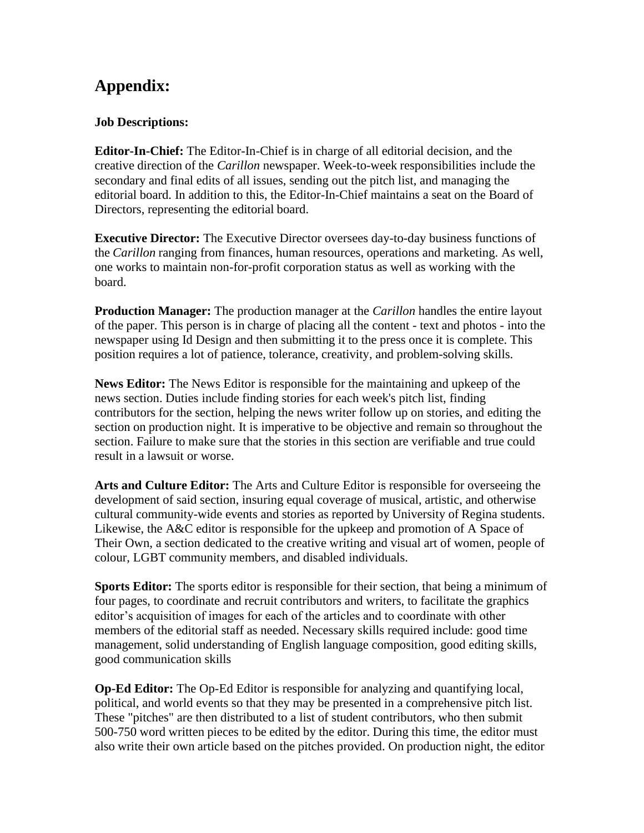## **Appendix:**

## **Job Descriptions:**

**Editor-In-Chief:** The Editor-In-Chief is in charge of all editorial decision, and the creative direction of the *Carillon* newspaper. Week-to-week responsibilities include the secondary and final edits of all issues, sending out the pitch list, and managing the editorial board. In addition to this, the Editor-In-Chief maintains a seat on the Board of Directors, representing the editorial board.

**Executive Director:** The Executive Director oversees day-to-day business functions of the *Carillon* ranging from finances, human resources, operations and marketing. As well, one works to maintain non-for-profit corporation status as well as working with the board.

**Production Manager:** The production manager at the *Carillon* handles the entire layout of the paper. This person is in charge of placing all the content - text and photos - into the newspaper using Id Design and then submitting it to the press once it is complete. This position requires a lot of patience, tolerance, creativity, and problem-solving skills.

**News Editor:** The News Editor is responsible for the maintaining and upkeep of the news section. Duties include finding stories for each week's pitch list, finding contributors for the section, helping the news writer follow up on stories, and editing the section on production night. It is imperative to be objective and remain so throughout the section. Failure to make sure that the stories in this section are verifiable and true could result in a lawsuit or worse.

**Arts and Culture Editor:** The Arts and Culture Editor is responsible for overseeing the development of said section, insuring equal coverage of musical, artistic, and otherwise cultural community-wide events and stories as reported by University of Regina students. Likewise, the A&C editor is responsible for the upkeep and promotion of A Space of Their Own, a section dedicated to the creative writing and visual art of women, people of colour, LGBT community members, and disabled individuals.

**Sports Editor:** The sports editor is responsible for their section, that being a minimum of four pages, to coordinate and recruit contributors and writers, to facilitate the graphics editor's acquisition of images for each of the articles and to coordinate with other members of the editorial staff as needed. Necessary skills required include: good time management, solid understanding of English language composition, good editing skills, good communication skills

**Op-Ed Editor:** The Op-Ed Editor is responsible for analyzing and quantifying local, political, and world events so that they may be presented in a comprehensive pitch list. These "pitches" are then distributed to a list of student contributors, who then submit 500-750 word written pieces to be edited by the editor. During this time, the editor must also write their own article based on the pitches provided. On production night, the editor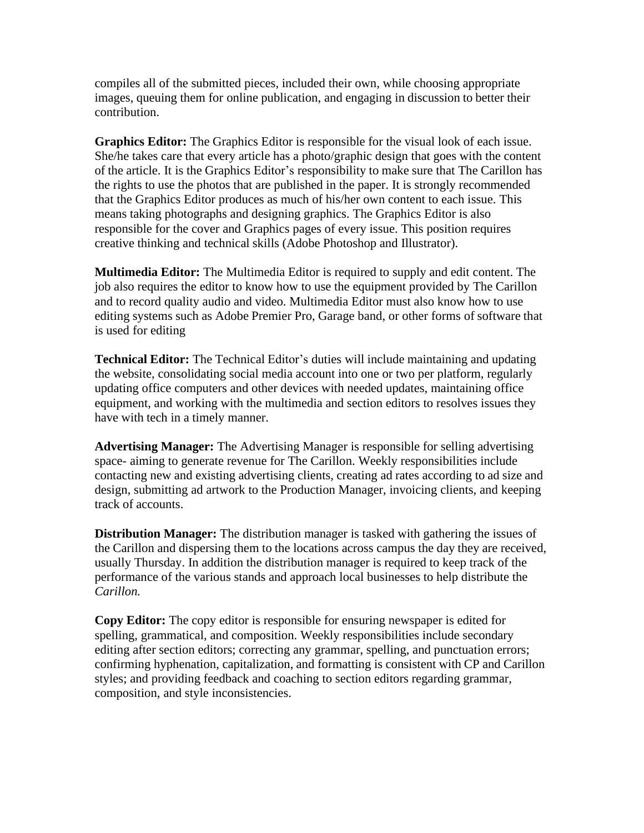compiles all of the submitted pieces, included their own, while choosing appropriate images, queuing them for online publication, and engaging in discussion to better their contribution.

**Graphics Editor:** The Graphics Editor is responsible for the visual look of each issue. She/he takes care that every article has a photo/graphic design that goes with the content of the article. It is the Graphics Editor's responsibility to make sure that The Carillon has the rights to use the photos that are published in the paper. It is strongly recommended that the Graphics Editor produces as much of his/her own content to each issue. This means taking photographs and designing graphics. The Graphics Editor is also responsible for the cover and Graphics pages of every issue. This position requires creative thinking and technical skills (Adobe Photoshop and Illustrator).

**Multimedia Editor:** The Multimedia Editor is required to supply and edit content. The job also requires the editor to know how to use the equipment provided by The Carillon and to record quality audio and video. Multimedia Editor must also know how to use editing systems such as Adobe Premier Pro, Garage band, or other forms of software that is used for editing

**Technical Editor:** The Technical Editor's duties will include maintaining and updating the website, consolidating social media account into one or two per platform, regularly updating office computers and other devices with needed updates, maintaining office equipment, and working with the multimedia and section editors to resolves issues they have with tech in a timely manner.

**Advertising Manager:** The Advertising Manager is responsible for selling advertising space- aiming to generate revenue for The Carillon. Weekly responsibilities include contacting new and existing advertising clients, creating ad rates according to ad size and design, submitting ad artwork to the Production Manager, invoicing clients, and keeping track of accounts.

**Distribution Manager:** The distribution manager is tasked with gathering the issues of the Carillon and dispersing them to the locations across campus the day they are received, usually Thursday. In addition the distribution manager is required to keep track of the performance of the various stands and approach local businesses to help distribute the *Carillon.*

**Copy Editor:** The copy editor is responsible for ensuring newspaper is edited for spelling, grammatical, and composition. Weekly responsibilities include secondary editing after section editors; correcting any grammar, spelling, and punctuation errors; confirming hyphenation, capitalization, and formatting is consistent with CP and Carillon styles; and providing feedback and coaching to section editors regarding grammar, composition, and style inconsistencies.